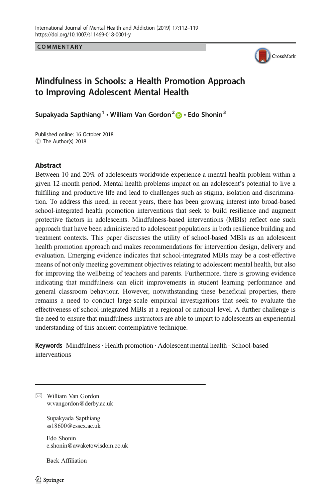**COMMENTARY** 

# CrossMark

# Mindfulness in Schools: a Health Promotion Approach to Improving Adolescent Mental Health

Supakyada Sapthiang<sup>1</sup> · William Van Gordon<sup>2</sup>  $\bullet$  · Edo Shonin<sup>3</sup>

Published online: 16 October 2018 C The Author(s) 2018

#### **Abstract**

Between 10 and 20% of adolescents worldwide experience a mental health problem within a given 12-month period. Mental health problems impact on an adolescent's potential to live a fulfilling and productive life and lead to challenges such as stigma, isolation and discrimination. To address this need, in recent years, there has been growing interest into broad-based school-integrated health promotion interventions that seek to build resilience and augment protective factors in adolescents. Mindfulness-based interventions (MBIs) reflect one such approach that have been administered to adolescent populations in both resilience building and treatment contexts. This paper discusses the utility of school-based MBIs as an adolescent health promotion approach and makes recommendations for intervention design, delivery and evaluation. Emerging evidence indicates that school-integrated MBIs may be a cost-effective means of not only meeting government objectives relating to adolescent mental health, but also for improving the wellbeing of teachers and parents. Furthermore, there is growing evidence indicating that mindfulness can elicit improvements in student learning performance and general classroom behaviour. However, notwithstanding these beneficial properties, there remains a need to conduct large-scale empirical investigations that seek to evaluate the effectiveness of school-integrated MBIs at a regional or national level. A further challenge is the need to ensure that mindfulness instructors are able to impart to adolescents an experiential understanding of this ancient contemplative technique.

Keywords Mindfulness. Health promotion . Adolescent mental health . School-based interventions

 $\boxtimes$  William Van Gordon [w.vangordon@derby.ac.uk](mailto:w.vangordon@derby.ac.uk)

> Supakyada Sapthiang ss18600@essex.ac.uk

Edo Shonin e.shonin@awaketowisdom.co.uk

Back Affiliation

 $\textcircled{2}$  Springer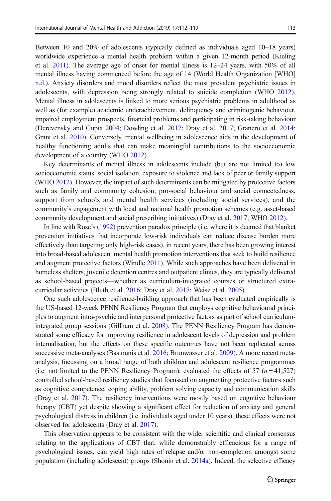Between 10 and 20% of adolescents (typically defined as individuals aged 10–18 years) worldwide experience a mental health problem within a given 12-month period (Kieling et al. [2011\)](#page-6-0). The average age of onset for mental illness is 12–24 years, with 50% of all mental illness having commenced before the age of 14 (World Health Organization [WHO] [n.d.\)](#page-7-0). Anxiety disorders and mood disorders reflect the most prevalent psychiatric issues in adolescents, with depression being strongly related to suicide completion (WHO [2012](#page-7-0)). Mental illness in adolescents is linked to more serious psychiatric problems in adulthood as well as (for example) academic underachievement, delinquency and criminogenic behaviour, impaired employment prospects, financial problems and participating in risk-taking behaviour (Derevensky and Gupta [2004](#page-6-0); Dowling et al. [2017](#page-6-0); Dray et al. [2017;](#page-6-0) Granero et al. [2014](#page-6-0); Grant et al. [2010](#page-6-0)). Conversely, mental wellbeing in adolescence aids in the development of healthy functioning adults that can make meaningful contributions to the socioeconomic development of a country (WHO [2012\)](#page-7-0).

Key determinants of mental illness in adolescents include (but are not limited to) low socioeconomic status, social isolation, exposure to violence and lack of peer or family support (WHO [2012\)](#page-7-0). However, the impact of such determinants can be mitigated by protective factors such as family and community cohesion, pro-social behaviour and social connectedness, support from schools and mental health services (including social services), and the community's engagement with local and national health promotion schemes (e.g. asset-based community development and social prescribing initiatives) (Dray et al. [2017](#page-6-0); WHO [2012](#page-7-0)).

In line with Rose's ([1992](#page-6-0)) prevention paradox principle (i.e. where it is deemed that blanket prevention initiatives that incorporate low-risk individuals can reduce disease burden more effectively than targeting only high-risk cases), in recent years, there has been growing interest into broad-based adolescent mental health promotion interventions that seek to build resilience and augment protective factors (Windle [2011](#page-7-0)). While such approaches have been delivered in homeless shelters, juvenile detention centres and outpatient clinics, they are typically delivered as school-based projects—whether as curriculum-integrated courses or structured extracurricular activities (Bluth et al. [2016;](#page-5-0) Dray et al. [2017;](#page-6-0) Weisz et al. [2005\)](#page-7-0).

One such adolescence resilience-building approach that has been evaluated empirically is the US-based 12-week PENN Resiliency Program that employs cognitive behavioural principles to augment intra-psychic and interpersonal protective factors as part of school curriculumintegrated group sessions (Gillham et al. [2008\)](#page-6-0). The PENN Resiliency Program has demonstrated some efficacy for improving resilience in adolescent levels of depression and problem internalisation, but the effects on these specific outcomes have not been replicated across successive meta-analyses (Bastounis et al. [2016](#page-5-0); Brunwasser et al. [2009\)](#page-6-0). A more recent metaanalysis, focussing on a broad range of both children and adolescent resilience programmes (i.e. not limited to the PENN Resiliency Program), evaluated the effects of 57 ( $n = 41,527$ ) controlled school-based resiliency studies that focussed on augmenting protective factors such as cognitive competence, coping ability, problem solving capacity and communication skills (Dray et al. [2017](#page-6-0)). The resiliency interventions were mostly based on cognitive behaviour therapy (CBT) yet despite showing a significant effect for reduction of anxiety and general psychological distress in children (i.e. individuals aged under 10 years), these effects were not observed for adolescents (Dray et al. [2017\)](#page-6-0).

This observation appears to be consistent with the wider scientific and clinical consensus relating to the applications of CBT that, while demonstrably efficacious for a range of psychological issues, can yield high rates of relapse and/or non-completion amongst some population (including adolescent) groups (Shonin et al. [2014a\)](#page-7-0). Indeed, the selective efficacy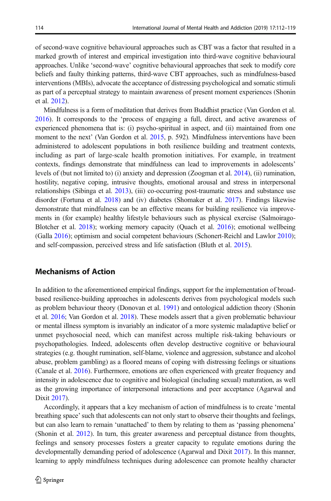of second-wave cognitive behavioural approaches such as CBT was a factor that resulted in a marked growth of interest and empirical investigation into third-wave cognitive behavioural approaches. Unlike 'second-wave' cognitive behavioural approaches that seek to modify core beliefs and faulty thinking patterns, third-wave CBT approaches, such as mindfulness-based interventions (MBIs), advocate the acceptance of distressing psychological and somatic stimuli as part of a perceptual strategy to maintain awareness of present moment experiences (Shonin et al. [2012](#page-6-0)).

Mindfulness is a form of meditation that derives from Buddhist practice (Van Gordon et al. [2016](#page-7-0)). It corresponds to the 'process of engaging a full, direct, and active awareness of experienced phenomena that is: (i) psycho-spiritual in aspect, and (ii) maintained from one moment to the next' (Van Gordon et al. [2015,](#page-7-0) p. 592). Mindfulness interventions have been administered to adolescent populations in both resilience building and treatment contexts, including as part of large-scale health promotion initiatives. For example, in treatment contexts, findings demonstrate that mindfulness can lead to improvements in adolescents' levels of (but not limited to) (i) anxiety and depression (Zoogman et al. [2014](#page-7-0)), (ii) rumination, hostility, negative coping, intrusive thoughts, emotional arousal and stress in interpersonal relationships (Sibinga et al. [2013\)](#page-7-0), (iii) co-occurring post-traumatic stress and substance use disorder (Fortuna et al. [2018](#page-6-0)) and (iv) diabetes (Shomaker et al. [2017](#page-6-0)). Findings likewise demonstrate that mindfulness can be an effective means for building resilience via improvements in (for example) healthy lifestyle behaviours such as physical exercise (Salmoirago-Blotcher et al. [2018](#page-6-0)); working memory capacity (Quach et al. [2016](#page-6-0)); emotional wellbeing (Galla [2016\)](#page-6-0); optimism and social competent behaviours (Schonert-Reichl and Lawlor [2010](#page-6-0)); and self-compassion, perceived stress and life satisfaction (Bluth et al. [2015](#page-5-0)).

# Mechanisms of Action

In addition to the aforementioned empirical findings, support for the implementation of broadbased resilience-building approaches in adolescents derives from psychological models such as problem behaviour theory (Donovan et al. [1991\)](#page-6-0) and ontological addiction theory (Shonin et al. [2016](#page-7-0); Van Gordon et al. [2018](#page-7-0)). These models assert that a given problematic behaviour or mental illness symptom is invariably an indicator of a more systemic maladaptive belief or unmet psychosocial need, which can manifest across multiple risk-taking behaviours or psychopathologies. Indeed, adolescents often develop destructive cognitive or behavioural strategies (e.g. thought rumination, self-blame, violence and aggression, substance and alcohol abuse, problem gambling) as a floored means of coping with distressing feelings or situations (Canale et al. [2016\)](#page-6-0). Furthermore, emotions are often experienced with greater frequency and intensity in adolescence due to cognitive and biological (including sexual) maturation, as well as the growing importance of interpersonal interactions and peer acceptance (Agarwal and Dixit [2017\)](#page-5-0).

Accordingly, it appears that a key mechanism of action of mindfulness is to create 'mental breathing space'such that adolescents can not only start to observe their thoughts and feelings, but can also learn to remain 'unattached' to them by relating to them as 'passing phenomena' (Shonin et al. [2012\)](#page-6-0). In turn, this greater awareness and perceptual distance from thoughts, feelings and sensory processes fosters a greater capacity to regulate emotions during the developmentally demanding period of adolescence (Agarwal and Dixit [2017](#page-5-0)). In this manner, learning to apply mindfulness techniques during adolescence can promote healthy character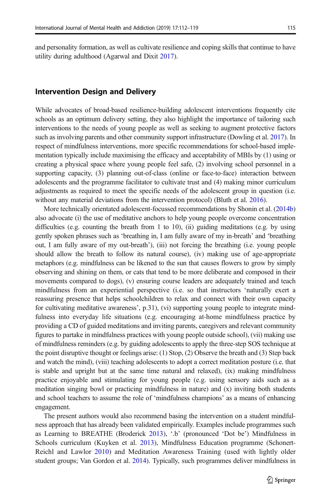and personality formation, as well as cultivate resilience and coping skills that continue to have utility during adulthood (Agarwal and Dixit [2017](#page-5-0)).

#### Intervention Design and Delivery

While advocates of broad-based resilience-building adolescent interventions frequently cite schools as an optimum delivery setting, they also highlight the importance of tailoring such interventions to the needs of young people as well as seeking to augment protective factors such as involving parents and other community support infrastructure (Dowling et al. [2017\)](#page-6-0). In respect of mindfulness interventions, more specific recommendations for school-based implementation typically include maximising the efficacy and acceptability of MBIs by (1) using or creating a physical space where young people feel safe, (2) involving school personnel in a supporting capacity, (3) planning out-of-class (online or face-to-face) interaction between adolescents and the programme facilitator to cultivate trust and (4) making minor curriculum adjustments as required to meet the specific needs of the adolescent group in question (i.e. without any material deviations from the intervention protocol) (Bluth et al. [2016\)](#page-5-0).

More technically orientated adolescent-focussed recommendations by Shonin et al. [\(2014b\)](#page-7-0) also advocate (i) the use of meditative anchors to help young people overcome concentration difficulties (e.g. counting the breath from 1 to 10), (ii) guiding meditations (e.g. by using gently spoken phrases such as 'breathing in, I am fully aware of my in-breath' and 'breathing out, I am fully aware of my out-breath'), (iii) not forcing the breathing (i.e. young people should allow the breath to follow its natural course), (iv) making use of age-appropriate metaphors (e.g. mindfulness can be likened to the sun that causes flowers to grow by simply observing and shining on them, or cats that tend to be more deliberate and composed in their movements compared to dogs), (v) ensuring course leaders are adequately trained and teach mindfulness from an experiential perspective (i.e. so that instructors 'naturally exert a reassuring presence that helps schoolchildren to relax and connect with their own capacity for cultivating meditative awareness', p.31), (vi) supporting young people to integrate mindfulness into everyday life situations (e.g. encouraging at-home mindfulness practice by providing a CD of guided meditations and inviting parents, caregivers and relevant community figures to partake in mindfulness practices with young people outside school), (vii) making use of mindfulness reminders (e.g. by guiding adolescents to apply the three-step SOS technique at the point disruptive thought or feelings arise: (1) Stop, (2) Observe the breath and (3) Step back and watch the mind), (viii) teaching adolescents to adopt a correct meditation posture (i.e. that is stable and upright but at the same time natural and relaxed), (ix) making mindfulness practice enjoyable and stimulating for young people (e.g. using sensory aids such as a meditation singing bowl or practicing mindfulness in nature) and (x) inviting both students and school teachers to assume the role of 'mindfulness champions' as a means of enhancing engagement.

The present authors would also recommend basing the intervention on a student mindfulness approach that has already been validated empirically. Examples include programmes such as Learning to BREATHE (Broderick [2013\)](#page-6-0), '.b' (pronounced 'Dot be') Mindfulness in Schools curriculum (Kuyken et al. [2013\)](#page-6-0), Mindfulness Education programme (Schonert-Reichl and Lawlor [2010\)](#page-6-0) and Meditation Awareness Training (used with lightly older student groups; Van Gordon et al. [2014](#page-7-0)). Typically, such programmes deliver mindfulness in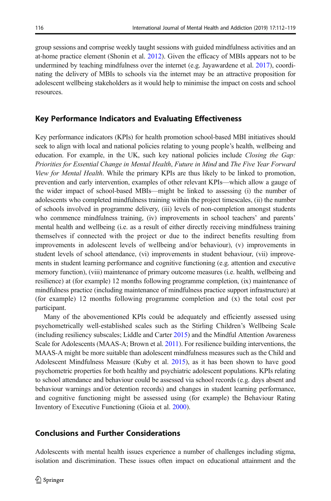group sessions and comprise weekly taught sessions with guided mindfulness activities and an at-home practice element (Shonin et al. [2012\)](#page-6-0). Given the efficacy of MBIs appears not to be undermined by teaching mindfulness over the internet (e.g. Jayawardene et al. [2017](#page-6-0)), coordinating the delivery of MBIs to schools via the internet may be an attractive proposition for adolescent wellbeing stakeholders as it would help to minimise the impact on costs and school resources.

## Key Performance Indicators and Evaluating Effectiveness

Key performance indicators (KPIs) for health promotion school-based MBI initiatives should seek to align with local and national policies relating to young people's health, wellbeing and education. For example, in the UK, such key national policies include Closing the Gap: Priorities for Essential Change in Mental Health, Future in Mind and The Five Year Forward View for Mental Health. While the primary KPIs are thus likely to be linked to promotion, prevention and early intervention, examples of other relevant KPIs—which allow a gauge of the wider impact of school-based MBIs—might be linked to assessing (i) the number of adolescents who completed mindfulness training within the project timescales, (ii) the number of schools involved in programme delivery, (iii) levels of non-completion amongst students who commence mindfulness training, (iv) improvements in school teachers' and parents' mental health and wellbeing (i.e. as a result of either directly receiving mindfulness training themselves if connected with the project or due to the indirect benefits resulting from improvements in adolescent levels of wellbeing and/or behaviour), (v) improvements in student levels of school attendance, (vi) improvements in student behaviour, (vii) improvements in student learning performance and cognitive functioning (e.g. attention and executive memory function), (viii) maintenance of primary outcome measures (i.e. health, wellbeing and resilience) at (for example) 12 months following programme completion, (ix) maintenance of mindfulness practice (including maintenance of mindfulness practice support infrastructure) at (for example) 12 months following programme completion and (x) the total cost per participant.

Many of the abovementioned KPIs could be adequately and efficiently assessed using psychometrically well-established scales such as the Stirling Children's Wellbeing Scale (including resiliency subscales; Liddle and Carter [2015](#page-6-0)) and the Mindful Attention Awareness Scale for Adolescents (MAAS-A; Brown et al. [2011](#page-6-0)). For resilience building interventions, the MAAS-A might be more suitable than adolescent mindfulness measures such as the Child and Adolescent Mindfulness Measure (Kuby et al. [2015](#page-6-0)), as it has been shown to have good psychometric properties for both healthy and psychiatric adolescent populations. KPIs relating to school attendance and behaviour could be assessed via school records (e.g. days absent and behaviour warnings and/or detention records) and changes in student learning performance, and cognitive functioning might be assessed using (for example) the Behaviour Rating Inventory of Executive Functioning (Gioia et al. [2000\)](#page-6-0).

# Conclusions and Further Considerations

Adolescents with mental health issues experience a number of challenges including stigma, isolation and discrimination. These issues often impact on educational attainment and the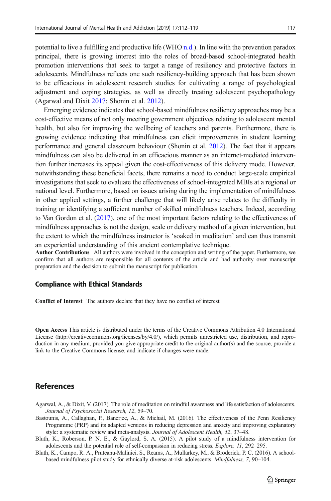<span id="page-5-0"></span>potential to live a fulfilling and productive life (WHO [n.d.](#page-7-0)). In line with the prevention paradox principal, there is growing interest into the roles of broad-based school-integrated health promotion interventions that seek to target a range of resiliency and protective factors in adolescents. Mindfulness reflects one such resiliency-building approach that has been shown to be efficacious in adolescent research studies for cultivating a range of psychological adjustment and coping strategies, as well as directly treating adolescent psychopathology (Agarwal and Dixit 2017; Shonin et al. [2012](#page-6-0)).

Emerging evidence indicates that school-based mindfulness resiliency approaches may be a cost-effective means of not only meeting government objectives relating to adolescent mental health, but also for improving the wellbeing of teachers and parents. Furthermore, there is growing evidence indicating that mindfulness can elicit improvements in student learning performance and general classroom behaviour (Shonin et al. [2012](#page-6-0)). The fact that it appears mindfulness can also be delivered in an efficacious manner as an internet-mediated intervention further increases its appeal given the cost-effectiveness of this delivery mode. However, notwithstanding these beneficial facets, there remains a need to conduct large-scale empirical investigations that seek to evaluate the effectiveness of school-integrated MBIs at a regional or national level. Furthermore, based on issues arising during the implementation of mindfulness in other applied settings, a further challenge that will likely arise relates to the difficulty in training or identifying a sufficient number of skilled mindfulness teachers. Indeed, according to Van Gordon et al. [\(2017\)](#page-7-0), one of the most important factors relating to the effectiveness of mindfulness approaches is not the design, scale or delivery method of a given intervention, but the extent to which the mindfulness instructor is 'soaked in meditation' and can thus transmit an experiential understanding of this ancient contemplative technique.

Author Contributions All authors were involved in the conception and writing of the paper. Furthermore, we confirm that all authors are responsible for all contents of the article and had authority over manuscript preparation and the decision to submit the manuscript for publication.

#### Compliance with Ethical Standards

Conflict of Interest The authors declare that they have no conflict of interest.

Open Access This article is distributed under the terms of the Creative Commons Attribution 4.0 International License (http://creativecommons.org/licenses/by/4.0/), which permits unrestricted use, distribution, and reproduction in any medium, provided you give appropriate credit to the original author(s) and the source, provide a link to the Creative Commons license, and indicate if changes were made.

#### **References**

- Agarwal, A., & Dixit, V. (2017). The role of meditation on mindful awareness and life satisfaction of adolescents. Journal of Psychosocial Research, 12, 59–70.
- Bastounis, A., Callaghan, P., Banerjee, A., & Michail, M. (2016). The effectiveness of the Penn Resiliency Programme (PRP) and its adapted versions in reducing depression and anxiety and improving explanatory style: a systematic review and meta-analysis. Journal of Adolescent Health, 52, 37–48.
- Bluth, K., Roberson, P. N. E., & Gaylord, S. A. (2015). A pilot study of a mindfulness intervention for adolescents and the potential role of self-compassion in reducing stress. Explore, 11, 292–295.
- Bluth, K., Campo, R. A., Pruteanu-Malinici, S., Reams, A., Mullarkey, M., & Broderick, P. C. (2016). A schoolbased mindfulness pilot study for ethnically diverse at-risk adolescents. Mindfulness, 7, 90–104.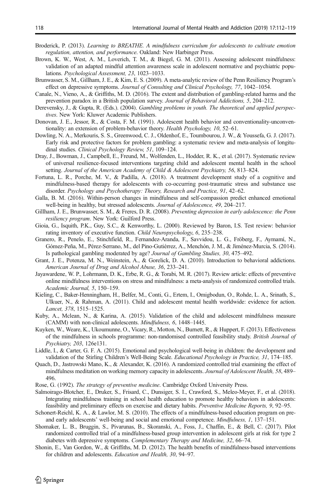- <span id="page-6-0"></span>Broderick, P. (2013). Learning to BREATHE. A mindfulness curriculum for adolescents to cultivate emotion regulation, attention, and performance. Oakland: New Harbinger Press.
- Brown, K. W., West, A. M., Loverich, T. M., & Biegel, G. M. (2011). Assessing adolescent mindfulness: validation of an adapted mindful attention awareness scale in adolescent normative and psychiatric populations. Psychological Assessment, 23, 1023–1033.
- Brunwasser, S. M., Gillham, J. E., & Kim, E. S. (2009). A meta-analytic review of the Penn Resiliency Program's effect on depressive symptoms. Journal of Consulting and Clinical Psychology, 77, 1042–1054.
- Canale, N., Vieno, A., & Griffiths, M. D. (2016). The extent and distribution of gambling-related harms and the prevention paradox in a British population survey. Journal of Behavioral Addictions, 5, 204-212.
- Derevensky, J., & Gupta, R. (Eds.). (2004). Gambling problems in youth. The theoretical and applied perspectives. New York: Kluwer Academic Publishers.
- Donovan, J. E., Jessor, R., & Costa, F. M. (1991). Adolescent health behavior and conventionality-unconventionality: an extension of problem-behavior theory. Health Psychology, 10, 52-61.
- Dowling, N. A., Merkouris, S. S., Greenwood, C. J., Oldenhof, E., Toumbourou, J. W., & Youssefa, G. J. (2017). Early risk and protective factors for problem gambling: a systematic review and meta-analysis of longitudinal studies. Clinical Psychology Review, 51, 109–124.
- Dray, J., Bowman, J., Campbell, E., Freund, M., Wolfenden, L., Hodder, R. K., et al. (2017). Systematic review of universal resilience-focused interventions targeting child and adolescent mental health in the school setting. Journal of the American Academy of Child & Adolescent Psychiatry, 56, 813–824.
- Fortuna, L. R., Porche, M. V., & Padilla, A. (2018). A treatment development study of a cognitive and mindfulness-based therapy for adolescents with co-occurring post-traumatic stress and substance use disorder. Psychology and Psychotherapy: Theory, Research and Practice, 91, 42–62.
- Galla, B. M. (2016). Within-person changes in mindfulness and self-compassion predict enhanced emotional well-being in healthy, but stressed adolescents. *Journal of Adolescence*, 49, 204–217.
- Gillham, J. E., Brunwasser, S. M., & Freres, D. R. (2008). Preventing depression in early adolescence: the Penn resiliency program. New York: Guilford Press.
- Gioia, G., Isquith, P.K., Guy, S.C., & Kenworthy, L. (2000). Reviewed by Baron, I.S. Test review: behavior rating inventory of executive function. Child Neuropsychology, 6, 235–238.
- Granero, R., Penelo, E., Stinchfield, R., Fernandez-Aranda, F., Savvidou, L. G., Fröberg, F., Aymamí, N., Gómez-Peña, M., Pérez-Serrano, M., del Pino-Gutiérrez, A., Menchón, J. M., & Jiménez-Murcia, S. (2014). Is pathological gambling moderated by age? Journal of Gambling Studies, 30, 475–492.
- Grant, J. E., Potenza, M. N., Weinstein, A., & Gorelick, D. A. (2010). Introduction to behavioral addictions. American Journal of Drug and Alcohol Abuse, 36, 233–241.
- Jayawardene, W. P., Lohrmann, D. K., Erbe, R. G., & Torabi, M. R. (2017). Review article: effects of preventive online mindfulness interventions on stress and mindfulness: a meta-analysis of randomized controlled trials. Academic Journal, 5, 150–159.
- Kieling, C., Baker-Henningham, H., Belfer, M., Conti, G., Ertem, I., Omigbodun, O., Rohde, L. A., Srinath, S., Ulkuer, N., & Rahman, A. (2011). Child and adolescent mental health worldwide: evidence for action. Lancet, 378, 1515–1525.
- Kuby, A., Mclean, N., & Karina, A. (2015). Validation of the child and adolescent mindfulness measure (CAMM) with non-clinical adolescents. Mindfulness, 6, 1448–1445.
- Kuyken, W., Weare, K., Ukoumunne, O., Vicary, R., Motton, N., Burnett, R., & Huppert, F. (2013). Effectiveness of the mindfulness in schools programme: non-randomised controlled feasibility study. British Journal of Psychiatry, 203, 126e131.
- Liddle, I., & Carter, G. F. A. (2015). Emotional and psychological well-being in children: the development and validation of the Stirling Children's Well-Being Scale. Educational Psychology in Practice, 31, 174-185.
- Quach, D., Jastrowski Mano, K., & Alexander, K. (2016). A randomized controlled trial examining the effect of mindfulness meditation on working memory capacity in adolescents. Journal of Adolescent Health, 58, 489– 496.
- Rose, G. (1992). The strategy of preventive medicine. Cambridge Oxford University Press.
- Salmoirago-Blotcher, E., Druker, S., Frisard, C., Dunsiger, S. I., Crawford, S., Meleo-Meyer, F., et al. (2018). Integrating mindfulness training in school health education to promote healthy behaviors in adolescents: feasibility and preliminary effects on exercise and dietary habits. Preventive Medicine Reports, 9, 92–95.
- Schonert-Reichl, K. A., & Lawlor, M. S. (2010). The effects of a mindfulness-based education program on preand early adolescents' well-being and social and emotional competence. Mindfulness, 1, 137–151.
- Shomaker, L. B., Bruggin, S., Pivarunas, B., Skoranski, A., Foss, J., Chaffin, E., & Bell, C. (2017). Pilot randomized controlled trial of a mindfulness-based group intervention in adolescent girls at risk for type 2 diabetes with depressive symptoms. Complementary Therapy and Medicine, 32, 66–74.
- Shonin, E., Van Gordon, W., & Griffiths, M. D. (2012). The health benefits of mindfulness-based interventions for children and adolescents. Education and Health, 30, 94–97.